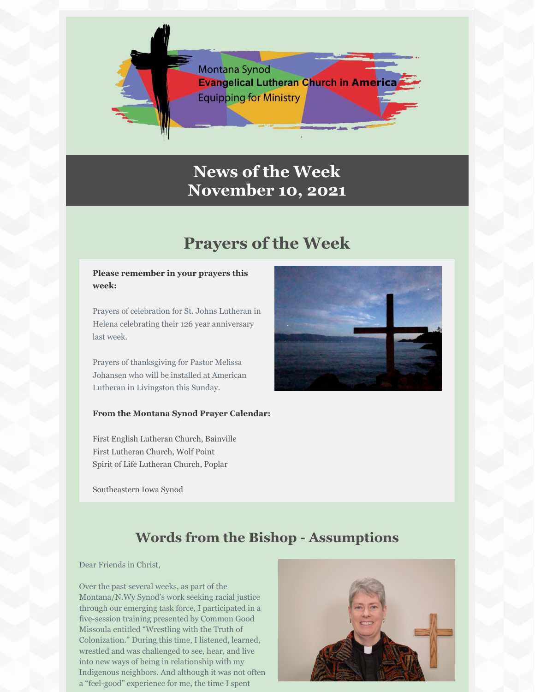

## **News of the Week November 10, 2021**

# **Prayers of the Week**

#### **Please remember in your prayers this week:**

Prayers of celebration for St. Johns Lutheran in Helena celebrating their 126 year anniversary last week.

Prayers of thanksgiving for Pastor Melissa Johansen who will be installed at American Lutheran in Livingston this Sunday.

#### **From the Montana Synod Prayer Calendar:**

First English Lutheran Church, Bainville First Lutheran Church, Wolf Point Spirit of Life Lutheran Church, Poplar

Southeastern Iowa Synod



### **Words from the Bishop - Assumptions**

Dear Friends in Christ,

Over the past several weeks, as part of the Montana/N.Wy Synod's work seeking racial justice through our emerging task force, I participated in a five-session training presented by Common Good Missoula entitled "Wrestling with the Truth of Colonization." During this time, I listened, learned, wrestled and was challenged to see, hear, and live into new ways of being in relationship with my Indigenous neighbors. And although it was not often a "feel-good" experience for me, the time I spent

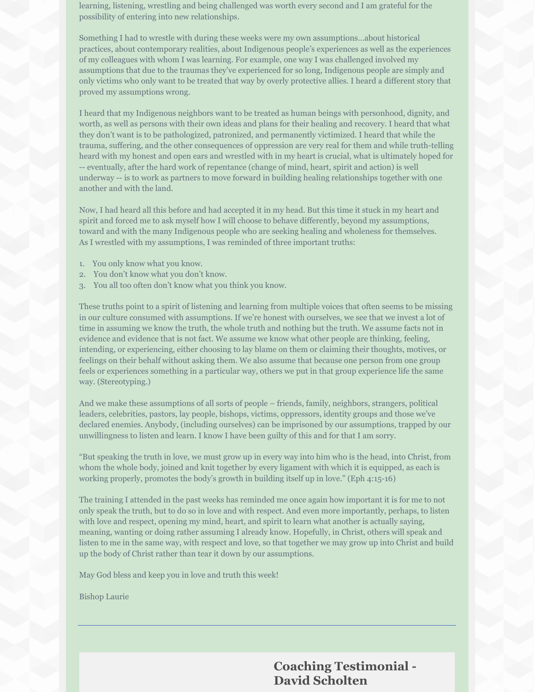learning, listening, wrestling and being challenged was worth every second and I am grateful for the possibility of entering into new relationships.

Something I had to wrestle with during these weeks were my own assumptions…about historical practices, about contemporary realities, about Indigenous people's experiences as well as the experiences of my colleagues with whom I was learning. For example, one way I was challenged involved my assumptions that due to the traumas they've experienced for so long, Indigenous people are simply and only victims who only want to be treated that way by overly protective allies. I heard a different story that proved my assumptions wrong.

I heard that my Indigenous neighbors want to be treated as human beings with personhood, dignity, and worth, as well as persons with their own ideas and plans for their healing and recovery. I heard that what they don't want is to be pathologized, patronized, and permanently victimized. I heard that while the trauma, suffering, and the other consequences of oppression are very real for them and while truth-telling heard with my honest and open ears and wrestled with in my heart is crucial, what is ultimately hoped for -- eventually, after the hard work of repentance (change of mind, heart, spirit and action) is well underway -- is to work as partners to move forward in building healing relationships together with one another and with the land.

Now, I had heard all this before and had accepted it in my head. But this time it stuck in my heart and spirit and forced me to ask myself how I will choose to behave differently, beyond my assumptions, toward and with the many Indigenous people who are seeking healing and wholeness for themselves. As I wrestled with my assumptions, I was reminded of three important truths:

- 1. You only know what you know.
- 2. You don't know what you don't know.
- 3. You all too often don't know what you think you know.

These truths point to a spirit of listening and learning from multiple voices that often seems to be missing in our culture consumed with assumptions. If we're honest with ourselves, we see that we invest a lot of time in assuming we know the truth, the whole truth and nothing but the truth. We assume facts not in evidence and evidence that is not fact. We assume we know what other people are thinking, feeling, intending, or experiencing, either choosing to lay blame on them or claiming their thoughts, motives, or feelings on their behalf without asking them. We also assume that because one person from one group feels or experiences something in a particular way, others we put in that group experience life the same way. (Stereotyping.)

And we make these assumptions of all sorts of people – friends, family, neighbors, strangers, political leaders, celebrities, pastors, lay people, bishops, victims, oppressors, identity groups and those we've declared enemies. Anybody, (including ourselves) can be imprisoned by our assumptions, trapped by our unwillingness to listen and learn. I know I have been guilty of this and for that I am sorry.

"But speaking the truth in love, we must grow up in every way into him who is the head, into Christ, from whom the whole body, joined and knit together by every ligament with which it is equipped, as each is working properly, promotes the body's growth in building itself up in love." (Eph 4:15-16)

The training I attended in the past weeks has reminded me once again how important it is for me to not only speak the truth, but to do so in love and with respect. And even more importantly, perhaps, to listen with love and respect, opening my mind, heart, and spirit to learn what another is actually saying, meaning, wanting or doing rather assuming I already know. Hopefully, in Christ, others will speak and listen to me in the same way, with respect and love, so that together we may grow up into Christ and build up the body of Christ rather than tear it down by our assumptions.

May God bless and keep you in love and truth this week!

Bishop Laurie

**Coaching Testimonial - David Scholten**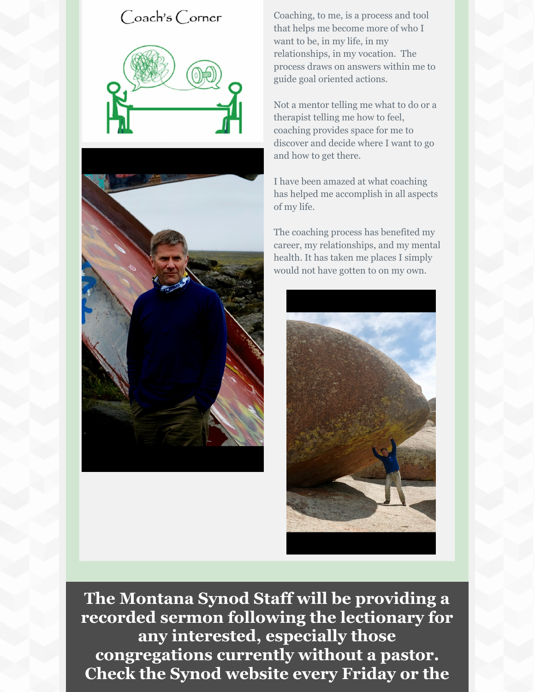### Coach's Corner





Coaching, to me, is a process and tool that helps me become more of who I want to be, in my life, in my relationships, in my vocation. The process draws on answers within me to guide goal oriented actions.

Not a mentor telling me what to do or a therapist telling me how to feel, coaching provides space for me to discover and decide where I want to go and how to get there.

I have been amazed at what coaching has helped me accomplish in all aspects of my life.

The coaching process has benefited my career, my relationships, and my mental health. It has taken me places I simply would not have gotten to on my own.



**The Montana Synod Staff will be providing a recorded sermon following the lectionary for any interested, especially those congregations currently without a pastor. Check the Synod website every Friday or the**